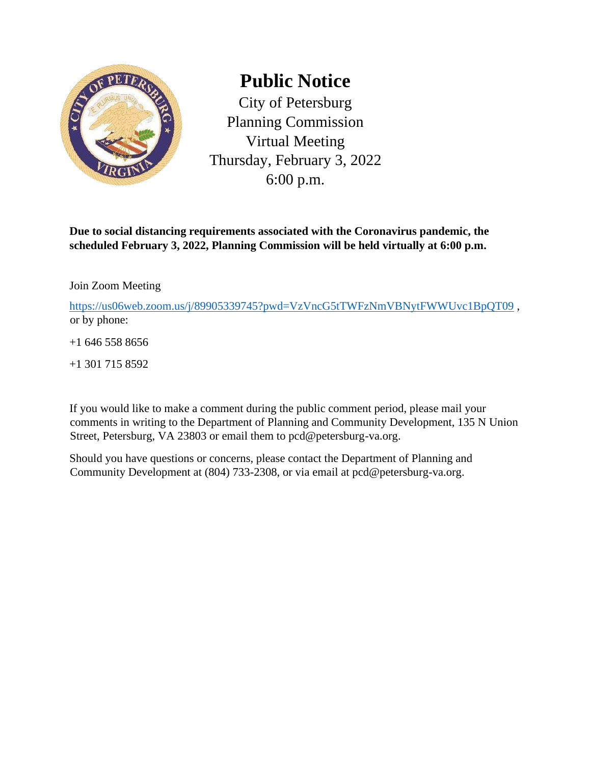

## **Public Notice**

City of Petersburg Planning Commission Virtual Meeting Thursday, February 3, 2022 6:00 p.m.

**Due to social distancing requirements associated with the Coronavirus pandemic, the scheduled February 3, 2022, Planning Commission will be held virtually at 6:00 p.m.** 

Join Zoom Meeting

<https://us06web.zoom.us/j/89905339745?pwd=VzVncG5tTWFzNmVBNytFWWUvc1BpQT09>, or by phone:

+1 646 558 8656

+1 301 715 8592

If you would like to make a comment during the public comment period, please mail your comments in writing to the Department of Planning and Community Development, 135 N Union Street, Petersburg, VA 23803 or email them to pcd@petersburg-va.org.

Should you have questions or concerns, please contact the Department of Planning and Community Development at (804) 733-2308, or via email at pcd@petersburg-va.org.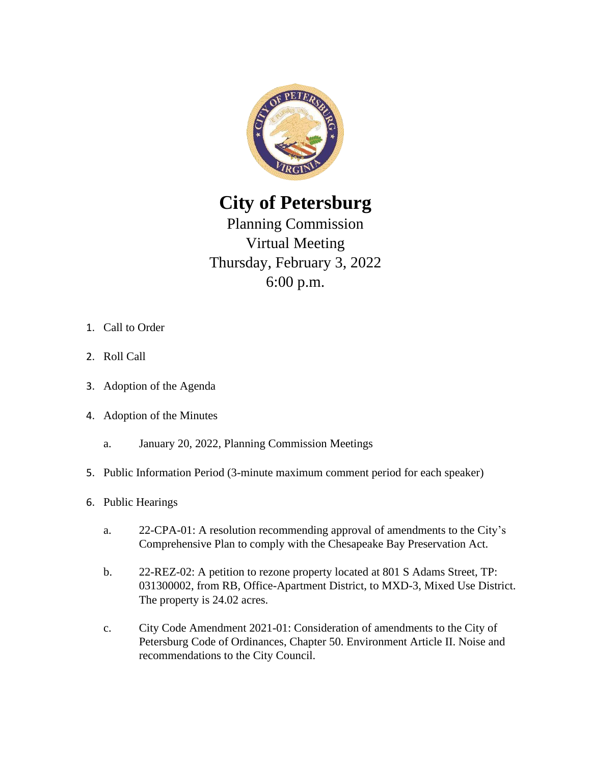

**City of Petersburg** 

Planning Commission Virtual Meeting Thursday, February 3, 2022 6:00 p.m.

- 1. Call to Order
- 2. Roll Call
- 3. Adoption of the Agenda
- 4. Adoption of the Minutes
	- a. January 20, 2022, Planning Commission Meetings
- 5. Public Information Period (3-minute maximum comment period for each speaker)
- 6. Public Hearings
	- a. 22-CPA-01: A resolution recommending approval of amendments to the City's Comprehensive Plan to comply with the Chesapeake Bay Preservation Act.
	- b. 22-REZ-02: A petition to rezone property located at 801 S Adams Street, TP: 031300002, from RB, Office-Apartment District, to MXD-3, Mixed Use District. The property is 24.02 acres.
	- c. City Code Amendment 2021-01: Consideration of amendments to the City of Petersburg Code of Ordinances, Chapter 50. Environment Article II. Noise and recommendations to the City Council.